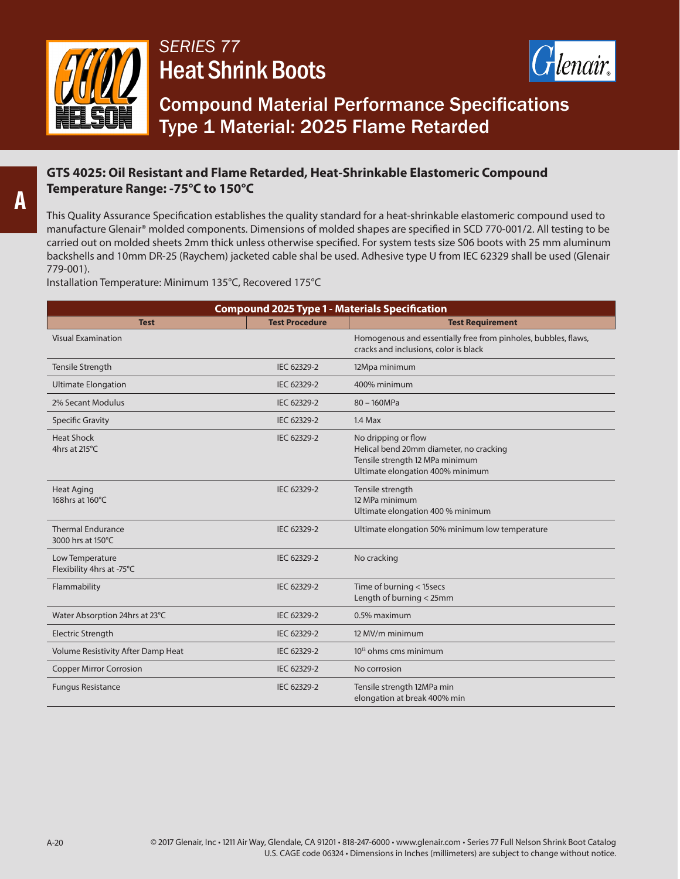

## *SERIES 77*  Heat Shrink Boots



Compound Material Performance Specifications Type 1 Material: 2025 Flame Retarded

## **GTS 4025: Oil Resistant and Flame Retarded, Heat-Shrinkable Elastomeric Compound Temperature Range: -75°C to 150°C**

This Quality Assurance Specification establishes the quality standard for a heat-shrinkable elastomeric compound used to manufacture Glenair® molded components. Dimensions of molded shapes are specified in SCD 770-001/2. All testing to be carried out on molded sheets 2mm thick unless otherwise specified. For system tests size S06 boots with 25 mm aluminum backshells and 10mm DR-25 (Raychem) jacketed cable shal be used. Adhesive type U from IEC 62329 shall be used (Glenair 779-001).

Installation Temperature: Minimum 135°C, Recovered 175°C

| <b>Compound 2025 Type 1 - Materials Specification</b> |                       |                                                                                                                                       |  |
|-------------------------------------------------------|-----------------------|---------------------------------------------------------------------------------------------------------------------------------------|--|
| <b>Test</b>                                           | <b>Test Procedure</b> | <b>Test Requirement</b>                                                                                                               |  |
| <b>Visual Examination</b>                             |                       | Homogenous and essentially free from pinholes, bubbles, flaws,<br>cracks and inclusions, color is black                               |  |
| Tensile Strength                                      | IEC 62329-2           | 12Mpa minimum                                                                                                                         |  |
| <b>Ultimate Elongation</b>                            | IEC 62329-2           | 400% minimum                                                                                                                          |  |
| 2% Secant Modulus                                     | IEC 62329-2           | 80 - 160MPa                                                                                                                           |  |
| <b>Specific Gravity</b>                               | IEC 62329-2           | $1.4$ Max                                                                                                                             |  |
| <b>Heat Shock</b><br>4hrs at 215°C                    | IEC 62329-2           | No dripping or flow<br>Helical bend 20mm diameter, no cracking<br>Tensile strength 12 MPa minimum<br>Ultimate elongation 400% minimum |  |
| <b>Heat Aging</b><br>168hrs at 160°C                  | IEC 62329-2           | Tensile strength<br>12 MPa minimum<br>Ultimate elongation 400 % minimum                                                               |  |
| <b>Thermal Endurance</b><br>3000 hrs at 150°C         | IEC 62329-2           | Ultimate elongation 50% minimum low temperature                                                                                       |  |
| Low Temperature<br>Flexibility 4hrs at -75°C          | IEC 62329-2           | No cracking                                                                                                                           |  |
| Flammability                                          | IEC 62329-2           | Time of burning < 15secs<br>Length of burning < 25mm                                                                                  |  |
| Water Absorption 24hrs at 23°C                        | IEC 62329-2           | 0.5% maximum                                                                                                                          |  |
| <b>Electric Strength</b>                              | IEC 62329-2           | 12 MV/m minimum                                                                                                                       |  |
| Volume Resistivity After Damp Heat                    | IEC 62329-2           | 10 <sup>13</sup> ohms cms minimum                                                                                                     |  |
| <b>Copper Mirror Corrosion</b>                        | IEC 62329-2           | No corrosion                                                                                                                          |  |
| <b>Fungus Resistance</b>                              | IEC 62329-2           | Tensile strength 12MPa min<br>elongation at break 400% min                                                                            |  |